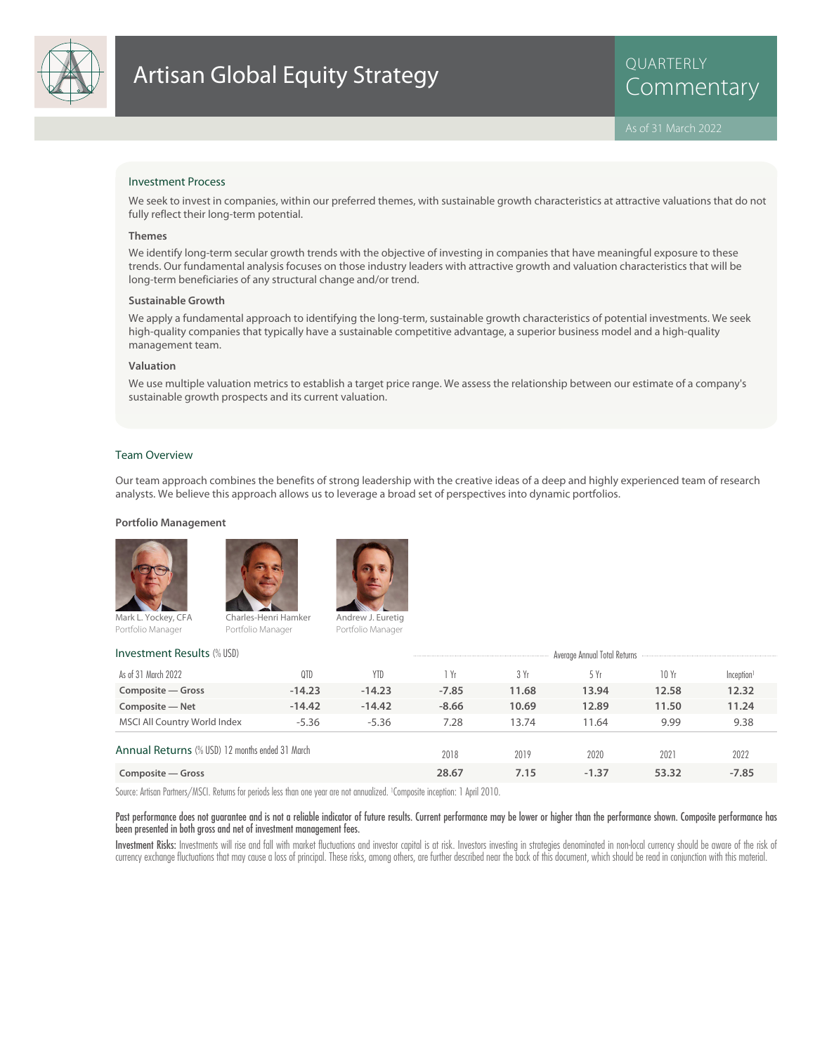

QUARTERLY

# Investment Process

We seek to invest in companies, within our preferred themes, with sustainable growth characteristics at attractive valuations that do not fully reflect their long-term potential.

### **Themes**

We identify long-term secular growth trends with the objective of investing in companies that have meaningful exposure to these trends. Our fundamental analysis focuses on those industry leaders with attractive growth and valuation characteristics that will be long-term beneficiaries of any structural change and/or trend.

#### **Sustainable Growth**

We apply a fundamental approach to identifying the long-term, sustainable growth characteristics of potential investments. We seek high-quality companies that typically have a sustainable competitive advantage, a superior business model and a high-quality management team.

### **Valuation**

We use multiple valuation metrics to establish a target price range. We assess the relationship between our estimate of a company's sustainable growth prospects and its current valuation.

## Team Overview

Our team approach combines the benefits of strong leadership with the creative ideas of a deep and highly experienced team of research analysts. We believe this approach allows us to leverage a broad set of perspectives into dynamic portfolios.

#### **Portfolio Management**





Mark L. Yockey, CFA Portfolio Manager



Charles-Henri Hamker Portfolio Manager



Portfolio Manager

# **Investment Results** (% USD) and the COVID-100 and Covid-100 and Covid-100 and Covid-100 and Total Returns Annual Total Returns

| As of 31 March 2022                                    | 0TD      | YTD      | Yr      | 3Yr   | 5 Yr    | 10 Yr | Inception <sup>1</sup> |
|--------------------------------------------------------|----------|----------|---------|-------|---------|-------|------------------------|
| Composite – Gross                                      | $-14.23$ | $-14.23$ | $-7.85$ | 11.68 | 13.94   | 12.58 | 12.32                  |
| Composite - Net                                        | $-14.42$ | $-14.42$ | $-8.66$ | 10.69 | 12.89   | 11.50 | 11.24                  |
| MSCI All Country World Index                           | $-5.36$  | $-5.36$  | 7.28    | 13.74 | 11.64   | 9.99  | 9.38                   |
| <b>Annual Returns</b> (% USD) 12 months ended 31 March |          | 2018     | 2019    | 2020  | 2021    | 2022  |                        |
| Composite – Gross                                      |          |          | 28.67   | 7.15  | $-1.37$ | 53.32 | $-7.85$                |

Source: Artisan Partners/MSCI. Returns for periods less than one year are not annualized. <sup>1</sup> Composite inception: 1 April 2010.

Past performance does not guarantee and is not a reliable indicator of future results. Current performance may be lower or higher than the performance shown. Composite performance has been presented in both gross and net of investment management fees.

Investment Risks: Investments will rise and fall with market fluctuations and investor capital is at risk. Investors investing in strategies denominated in non-local currency should be aware of the risk of currency exchange fluctuations that may cause a loss of principal. These risks, among others, are further described near the back of this document, which should be read in conjunction with this material.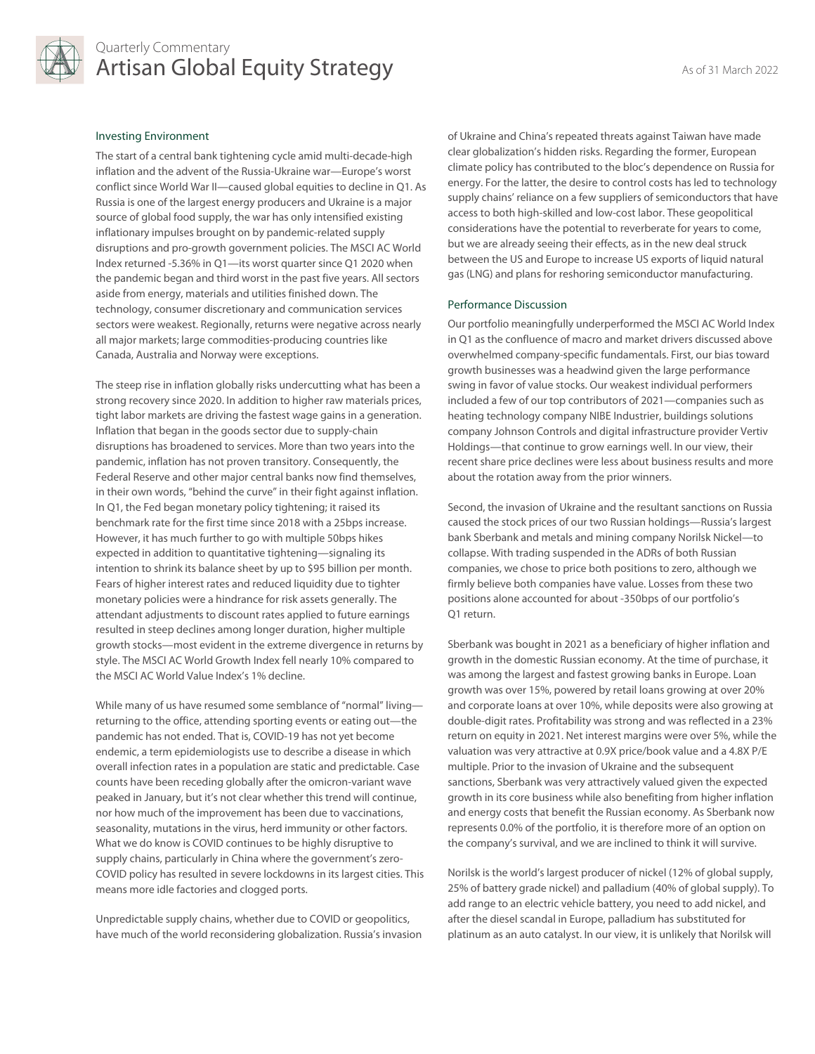

# Quarterly Commentary Artisan Global Equity Strategy Artisan As of 31 March 2022

# Investing Environment

The start of a central bank tightening cycle amid multi-decade-high inflation and the advent of the Russia-Ukraine war—Europe's worst conflict since World War II—caused global equities to decline in Q1. As Russia is one of the largest energy producers and Ukraine is a major source of global food supply, the war has only intensified existing inflationary impulses brought on by pandemic-related supply disruptions and pro-growth government policies. The MSCI AC World Index returned -5.36% in Q1—its worst quarter since Q1 2020 when the pandemic began and third worst in the past five years. All sectors aside from energy, materials and utilities finished down. The technology, consumer discretionary and communication services sectors were weakest. Regionally, returns were negative across nearly all major markets; large commodities-producing countries like Canada, Australia and Norway were exceptions.

The steep rise in inflation globally risks undercutting what has been a strong recovery since 2020. In addition to higher raw materials prices, tight labor markets are driving the fastest wage gains in a generation. Inflation that began in the goods sector due to supply-chain disruptions has broadened to services. More than two years into the pandemic, inflation has not proven transitory. Consequently, the Federal Reserve and other major central banks now find themselves, in their own words, "behind the curve" in their fight against inflation. In Q1, the Fed began monetary policy tightening; it raised its benchmark rate for the first time since 2018 with a 25bps increase. However, it has much further to go with multiple 50bps hikes expected in addition to quantitative tightening—signaling its intention to shrink its balance sheet by up to \$95 billion per month. Fears of higher interest rates and reduced liquidity due to tighter monetary policies were a hindrance for risk assets generally. The attendant adjustments to discount rates applied to future earnings resulted in steep declines among longer duration, higher multiple growth stocks—most evident in the extreme divergence in returns by style. The MSCI AC World Growth Index fell nearly 10% compared to the MSCI AC World Value Index's 1% decline.

While many of us have resumed some semblance of "normal" living returning to the office, attending sporting events or eating out—the pandemic has not ended. That is, COVID-19 has not yet become endemic, a term epidemiologists use to describe a disease in which overall infection rates in a population are static and predictable. Case counts have been receding globally after the omicron-variant wave peaked in January, but it's not clear whether this trend will continue, nor how much of the improvement has been due to vaccinations, seasonality, mutations in the virus, herd immunity or other factors. What we do know is COVID continues to be highly disruptive to supply chains, particularly in China where the government's zero-COVID policy has resulted in severe lockdowns in its largest cities. This means more idle factories and clogged ports.

Unpredictable supply chains, whether due to COVID or geopolitics, have much of the world reconsidering globalization. Russia's invasion of Ukraine and China's repeated threats against Taiwan have made clear globalization's hidden risks. Regarding the former, European climate policy has contributed to the bloc's dependence on Russia for energy. For the latter, the desire to control costs has led to technology supply chains' reliance on a few suppliers of semiconductors that have access to both high-skilled and low-cost labor. These geopolitical considerations have the potential to reverberate for years to come, but we are already seeing their effects, as in the new deal struck between the US and Europe to increase US exports of liquid natural gas (LNG) and plans for reshoring semiconductor manufacturing.

### Performance Discussion

Our portfolio meaningfully underperformed the MSCI AC World Index in Q1 as the confluence of macro and market drivers discussed above overwhelmed company-specific fundamentals. First, our bias toward growth businesses was a headwind given the large performance swing in favor of value stocks. Our weakest individual performers included a few of our top contributors of 2021—companies such as heating technology company NIBE Industrier, buildings solutions company Johnson Controls and digital infrastructure provider Vertiv Holdings—that continue to grow earnings well. In our view, their recent share price declines were less about business results and more about the rotation away from the prior winners.

Second, the invasion of Ukraine and the resultant sanctions on Russia caused the stock prices of our two Russian holdings—Russia's largest bank Sberbank and metals and mining company Norilsk Nickel—to collapse. With trading suspended in the ADRs of both Russian companies, we chose to price both positions to zero, although we firmly believe both companies have value. Losses from these two positions alone accounted for about -350bps of our portfolio's Q1 return.

Sberbank was bought in 2021 as a beneficiary of higher inflation and growth in the domestic Russian economy. At the time of purchase, it was among the largest and fastest growing banks in Europe. Loan growth was over 15%, powered by retail loans growing at over 20% and corporate loans at over 10%, while deposits were also growing at double-digit rates. Profitability was strong and was reflected in a 23% return on equity in 2021. Net interest margins were over 5%, while the valuation was very attractive at 0.9X price/book value and a 4.8X P/E multiple. Prior to the invasion of Ukraine and the subsequent sanctions, Sberbank was very attractively valued given the expected growth in its core business while also benefiting from higher inflation and energy costs that benefit the Russian economy. As Sberbank now represents 0.0% of the portfolio, it is therefore more of an option on the company's survival, and we are inclined to think it will survive.

Norilsk is the world's largest producer of nickel (12% of global supply, 25% of battery grade nickel) and palladium (40% of global supply). To add range to an electric vehicle battery, you need to add nickel, and after the diesel scandal in Europe, palladium has substituted for platinum as an auto catalyst. In our view, it is unlikely that Norilsk will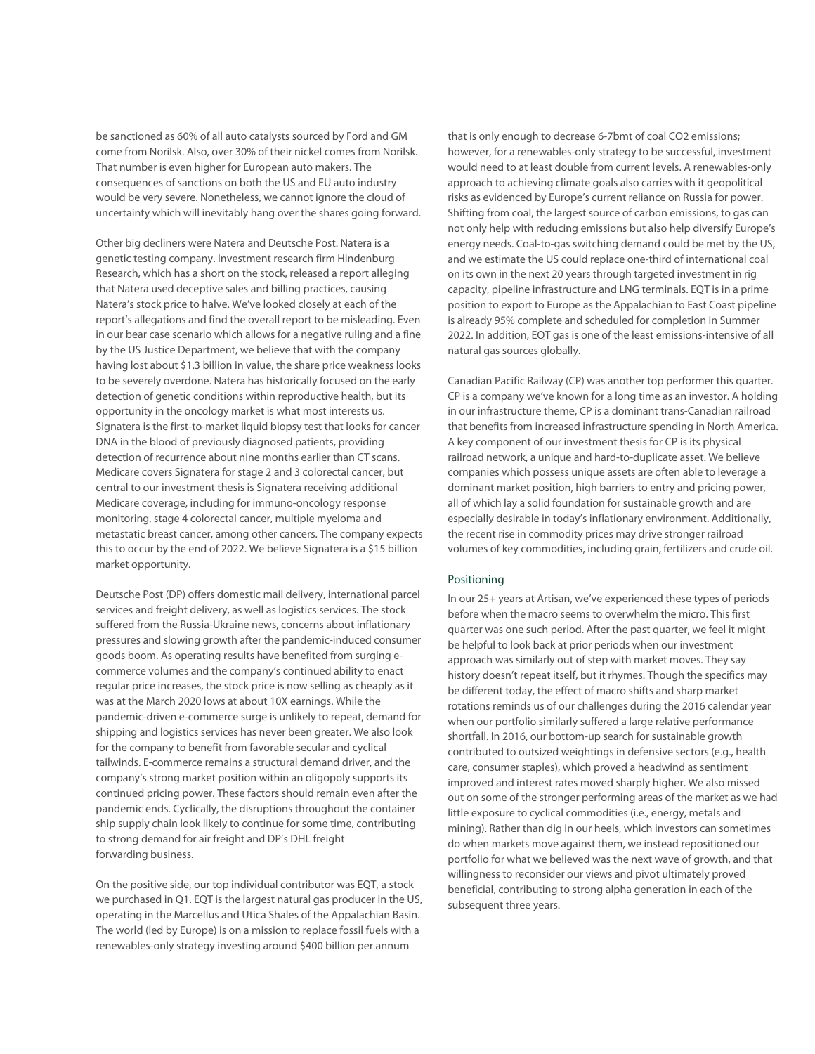be sanctioned as 60% of all auto catalysts sourced by Ford and GM come from Norilsk. Also, over 30% of their nickel comes from Norilsk. That number is even higher for European auto makers. The consequences of sanctions on both the US and EU auto industry would be very severe. Nonetheless, we cannot ignore the cloud of uncertainty which will inevitably hang over the shares going forward.

Other big decliners were Natera and Deutsche Post. Natera is a genetic testing company. Investment research firm Hindenburg Research, which has a short on the stock, released a report alleging that Natera used deceptive sales and billing practices, causing Natera's stock price to halve. We've looked closely at each of the report's allegations and find the overall report to be misleading. Even in our bear case scenario which allows for a negative ruling and a fine by the US Justice Department, we believe that with the company having lost about \$1.3 billion in value, the share price weakness looks to be severely overdone. Natera has historically focused on the early detection of genetic conditions within reproductive health, but its opportunity in the oncology market is what most interests us. Signatera is the first-to-market liquid biopsy test that looks for cancer DNA in the blood of previously diagnosed patients, providing detection of recurrence about nine months earlier than CT scans. Medicare covers Signatera for stage 2 and 3 colorectal cancer, but central to our investment thesis is Signatera receiving additional Medicare coverage, including for immuno-oncology response monitoring, stage 4 colorectal cancer, multiple myeloma and metastatic breast cancer, among other cancers. The company expects this to occur by the end of 2022. We believe Signatera is a \$15 billion market opportunity.

Deutsche Post (DP) offers domestic mail delivery, international parcel services and freight delivery, as well as logistics services. The stock suffered from the Russia-Ukraine news, concerns about inflationary pressures and slowing growth after the pandemic-induced consumer goods boom. As operating results have benefited from surging ecommerce volumes and the company's continued ability to enact regular price increases, the stock price is now selling as cheaply as it was at the March 2020 lows at about 10X earnings. While the pandemic-driven e-commerce surge is unlikely to repeat, demand for shipping and logistics services has never been greater. We also look for the company to benefit from favorable secular and cyclical tailwinds. E-commerce remains a structural demand driver, and the company's strong market position within an oligopoly supports its continued pricing power. These factors should remain even after the pandemic ends. Cyclically, the disruptions throughout the container ship supply chain look likely to continue for some time, contributing to strong demand for air freight and DP's DHL freight forwarding business.

On the positive side, our top individual contributor was EQT, a stock we purchased in Q1. EQT is the largest natural gas producer in the US, operating in the Marcellus and Utica Shales of the Appalachian Basin. The world (led by Europe) is on a mission to replace fossil fuels with a renewables-only strategy investing around \$400 billion per annum

that is only enough to decrease 6-7bmt of coal CO2 emissions; however, for a renewables-only strategy to be successful, investment would need to at least double from current levels. A renewables-only approach to achieving climate goals also carries with it geopolitical risks as evidenced by Europe's current reliance on Russia for power. Shifting from coal, the largest source of carbon emissions, to gas can not only help with reducing emissions but also help diversify Europe's energy needs. Coal-to-gas switching demand could be met by the US, and we estimate the US could replace one-third of international coal on its own in the next 20 years through targeted investment in rig capacity, pipeline infrastructure and LNG terminals. EQT is in a prime position to export to Europe as the Appalachian to East Coast pipeline is already 95% complete and scheduled for completion in Summer 2022. In addition, EQT gas is one of the least emissions-intensive of all natural gas sources globally.

Canadian Pacific Railway (CP) was another top performer this quarter. CP is a company we've known for a long time as an investor. A holding in our infrastructure theme, CP is a dominant trans-Canadian railroad that benefits from increased infrastructure spending in North America. A key component of our investment thesis for CP is its physical railroad network, a unique and hard-to-duplicate asset. We believe companies which possess unique assets are often able to leverage a dominant market position, high barriers to entry and pricing power, all of which lay a solid foundation for sustainable growth and are especially desirable in today's inflationary environment. Additionally, the recent rise in commodity prices may drive stronger railroad volumes of key commodities, including grain, fertilizers and crude oil.

# Positioning

In our 25+ years at Artisan, we've experienced these types of periods before when the macro seems to overwhelm the micro. This first quarter was one such period. After the past quarter, we feel it might be helpful to look back at prior periods when our investment approach was similarly out of step with market moves. They say history doesn't repeat itself, but it rhymes. Though the specifics may be different today, the effect of macro shifts and sharp market rotations reminds us of our challenges during the 2016 calendar year when our portfolio similarly suffered a large relative performance shortfall. In 2016, our bottom-up search for sustainable growth contributed to outsized weightings in defensive sectors (e.g., health care, consumer staples), which proved a headwind as sentiment improved and interest rates moved sharply higher. We also missed out on some of the stronger performing areas of the market as we had little exposure to cyclical commodities (i.e., energy, metals and mining). Rather than dig in our heels, which investors can sometimes do when markets move against them, we instead repositioned our portfolio for what we believed was the next wave of growth, and that willingness to reconsider our views and pivot ultimately proved beneficial, contributing to strong alpha generation in each of the subsequent three years.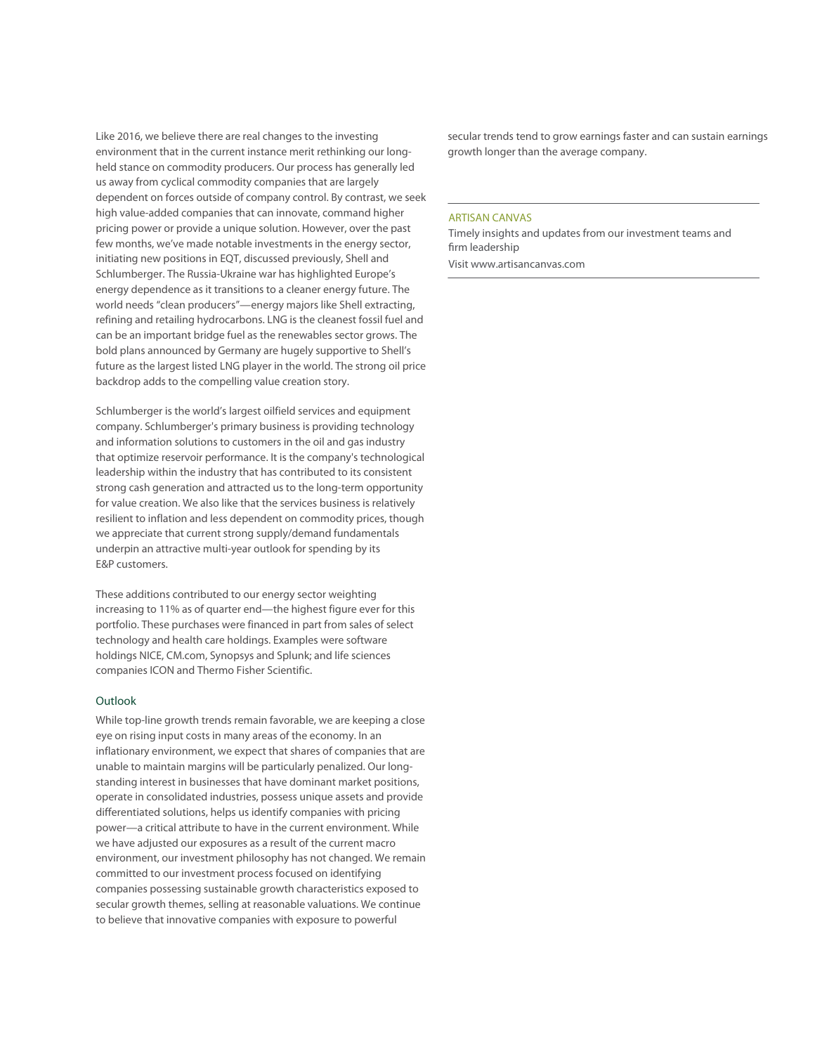Like 2016, we believe there are real changes to the investing environment that in the current instance merit rethinking our longheld stance on commodity producers. Our process has generally led us away from cyclical commodity companies that are largely dependent on forces outside of company control. By contrast, we seek high value-added companies that can innovate, command higher pricing power or provide a unique solution. However, over the past few months, we've made notable investments in the energy sector, initiating new positions in EQT, discussed previously, Shell and Schlumberger. The Russia-Ukraine war has highlighted Europe's energy dependence as it transitions to a cleaner energy future. The world needs "clean producers"—energy majors like Shell extracting, refining and retailing hydrocarbons. LNG is the cleanest fossil fuel and can be an important bridge fuel as the renewables sector grows. The bold plans announced by Germany are hugely supportive to Shell's future as the largest listed LNG player in the world. The strong oil price backdrop adds to the compelling value creation story.

Schlumberger is the world's largest oilfield services and equipment company. Schlumberger's primary business is providing technology and information solutions to customers in the oil and gas industry that optimize reservoir performance. It is the company's technological leadership within the industry that has contributed to its consistent strong cash generation and attracted us to the long-term opportunity for value creation. We also like that the services business is relatively resilient to inflation and less dependent on commodity prices, though we appreciate that current strong supply/demand fundamentals underpin an attractive multi-year outlook for spending by its E&P customers.

These additions contributed to our energy sector weighting increasing to 11% as of quarter end—the highest figure ever for this portfolio. These purchases were financed in part from sales of select technology and health care holdings. Examples were software holdings NICE, CM.com, Synopsys and Splunk; and life sciences companies ICON and Thermo Fisher Scientific.

# Outlook

While top-line growth trends remain favorable, we are keeping a close eye on rising input costs in many areas of the economy. In an inflationary environment, we expect that shares of companies that are unable to maintain margins will be particularly penalized. Our longstanding interest in businesses that have dominant market positions, operate in consolidated industries, possess unique assets and provide differentiated solutions, helps us identify companies with pricing power—a critical attribute to have in the current environment. While we have adjusted our exposures as a result of the current macro environment, our investment philosophy has not changed. We remain committed to our investment process focused on identifying companies possessing sustainable growth characteristics exposed to secular growth themes, selling at reasonable valuations. We continue to believe that innovative companies with exposure to powerful

secular trends tend to grow earnings faster and can sustain earnings growth longer than the average company.

# ARTISAN CANVAS

Timely insights and updates from our investment teams and firm leadership

Visit www.artisancanvas.com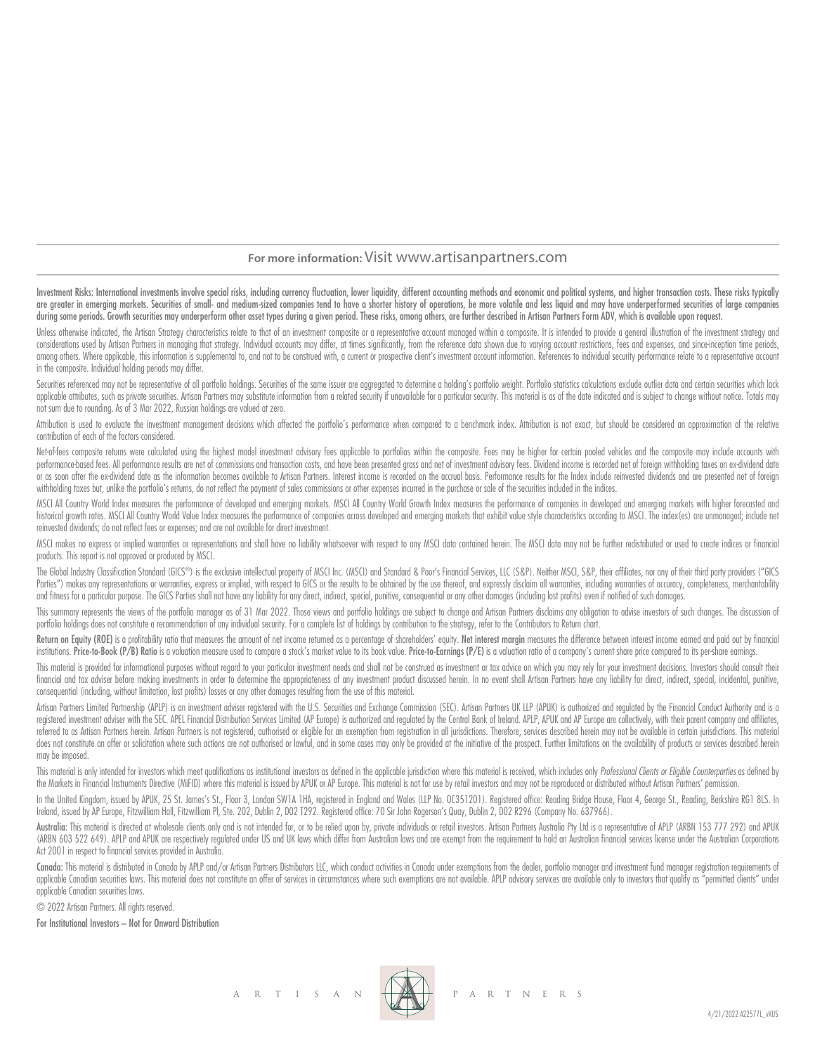# **For more information:** Visit www.artisanpartners.com

Investment Risks: International investments involve special risks, including currency fluctuation, lower liquidity, different accounting methods and economic and political systems, and higher transaction costs. These risks are greater in emerging markets. Securities of small- and medium-sized companies tend to have a shorter history of operations, be more volatile and less liquid and may have underperformed securities of large companies during some periods. Growth securities may underperform other asset types during a given period. These risks, among others, are further described in Artisan Partners Form ADV, which is available upon request.

Unless otherwise indicated, the Artisan Strategy characteristics relate to that of an investment composite or a representative account managed within a composite. It is intended to provide a general illustration of the inv considerations used by Artisan Partners in managing that strategy. Individual accounts may differ, at times significantly, from the reference data shown due to varying account restrictions, fees and expenses, and since inc among others. Where applicable, this information is supplemental to, and not to be construed with, a current or prospective client's investment account information. References to individual security performance relate to a in the composite. Individual holding periods may differ.

Securities referenced may not be representative of all portfolio holdings. Securities of the same issuer are aggregated to determine a holding's portfolio weight. Portfolio statistics calculations exclude outlier data and applicable attributes, such as private securities. Artisan Partners may substitute information from a related security if unavailable for a particular security. This material is as of the date indicated and is subject to c not sum due to rounding. As of 3 Mar 2022, Russian holdings are valued at zero.

Attribution is used to evaluate the investment management decisions which affected the portfolio's performance when compared to a benchmark index. Attribution is not exact, but should be considered an approximation of the contribution of each of the factors considered.

Net-of-fees composite returns were calculated using the highest model investment advisory fees applicable to portfolios within the composite. Fees may be higher for certain pooled vehicles and the composite may include acc performance based fees. All performance results are net of commissions and transaction costs, and have been presented aross and net of investment advisory fees. Dividend income is recorded net of foreian withholding taxes or as soon after the ex-dividend date as the information becomes available to Artisan Partners. Interest income is recorded on the accrual basis. Performance results for the Index include reinvested dividends and are prese withholding taxes but, unlike the portfolio's returns, do not reflect the payment of sales commissions or other expenses incurred in the purchase or sale of the securities included in the indices.

MSCI All Country World Index measures the performance of developed and emerging markets. MSCI All Country World Growth Index measures the performance of companies in developed and emerging markets with higher forecasted an historical growth rates. MSCI All Country World Value Index measures the performance of companies across developed and emerging markets that exhibit value style characteristics according to MSCI. The index (es) are unmanag reinvested dividends; do not reflect fees or expenses; and are not available for direct investment.

MSCI makes no express or implied warranties or representations and shall have no liability whatsoever with respect to any MSCI data contained herein. The MSCI data may not be further redistributed or used to create indices products. This report is not approved or produced by MSCI.

The Global Industry Classification Standard (GICS®) is the exclusive intellectual property of MSCI Inc. (MSCI) and Standard & Poor's Financial Services, LLC (S&P). Neither MSCI, S&P, their affiliates, nor any of their thir Parties") makes any representations or warranties, express or implied, with respect to GICS or the results to be obtained by the use thereof, and expressly disclaim all warranties, including warranties of accuracy, complet and fitness for a particular purpose. The GICS Parties shall not have any liability for any direct, indirect, special, punitive, consequential or any other damages (including lost profits) even if notified of such damages.

This summary represents the views of the portfolio manager as of 31 Mar 2022. Those views and portfolio holdings are subject to change and Artisan Partners disclaims any obligation to advise investors of such changes. The portfolio holdings does not constitute a recommendation of any individual security. For a complete list of holdings by contribution to the strategy, refer to the Contributors to Return chart.

Return on Eaulty (ROE) is a profitability ratio that measures the amount of net income returned as a percentage of shareholders' eaulty. Net interest margin measures the difference between interest income earned and paid o institutions. Price-to-Book (P/B) Ratio is a valuation measure used to compare a stock's market value to its book value. Price-to-Earnings (P/E) is a valuation ratio of a compary's current share price compared to its persh

This material is provided for informational purposes without regard to your particular investment needs and shall not be construed as investment or tax advice on which you may rely for your investment decisions. Investors financial and tax adviser before making investments in order to determine the appropriateness of any investment product discussed herein. In no event shall Artisan Partners have any liability for direct, indirect, special, consequential (including, without limitation, lost profits) losses or any other damages resulting from the use of this material.

Artisan Partners Limited Partnership (APLP) is an investment adviser registered with the U.S. Securities and Exchange Commission (SEC). Artisan Partners UK LLP (APUK) is authorized and regulated by the Financial Conduct Au registered investment adviser with the SEC. APEL Financial Distribution Services Limited (AP Europe) is authorized and regulated by the Central Bank of Ireland. APLP, APUK and AP Europe are collectively, with their parent referred to as Artisan Partners herein. Artisan Partners is not registered, authorised or eligible for an exemption from registration in all jurisdictions. Therefore, services described herein may not be available in certa does not constitute an offer or solicitation where such actions are not authorised or lawful, and in some cases may only be provided at the initiative of the prospect. Further limitations on the availability of products or may be imposed.

This material is only intended for investors which meet qualifications as institutional investors as defined in the applicable jurisdiction where this material is received, which includes only Professional Clients or Eligi the Markets in Financial Instruments Directive (MiFID) where this material is issued by APUK or AP Europe. This material is not for use by retail investors and may not be reproduced or distributed without Artisan Partners'

In the United Kingdom, issued by APUK, 25 St. James's St., Floor 3, London SW1A 1HA, registered in England and Wales (LLP No. OC351201). Registered office: Reading Bridge House, Floor 4, George St., Reading, Berkshire RG1 Ireland, issued by AP Europe, Fitzwilliam Hall, Fitzwilliam Pl, Ste. 202, Dublin 2, D02 T292. Registered office: 70 Sir John Rogerson's Quay, Dublin 2, D02 R296 (Company No. 637966).

Australia: This material is directed at wholesale clients only and is not intended for, or to be relied upon by, private individuals or retail investors. Artisan Partnes Australia Pty Ltd is a representative of APLP (ARBN (ARBN 603 522 649). APLP and APUK are respectively regulated under US and UK laws which differ from Australian laws and are exempt from the requirement to hold an Australian financial services license under the Australian Act 2001 in respect to financial services provided in Australia.

Canada: This material is distributed in Canada by APLP and/or Artisan Partners Distributors LLC, which conduct activities in Canada under exemptions from the dealer, portfolio manager and investment fund manager registrati applicable Canadian securities laws. This material does not constitute an offer of services in circumstances where such exemptions are not available. APLP advisory services are available only to investors that quality as " applicable Canadian securities laws.

© 2022 Artisan Partners. All rights reserved.

For Institutional Investors – Not for Onward Distribution